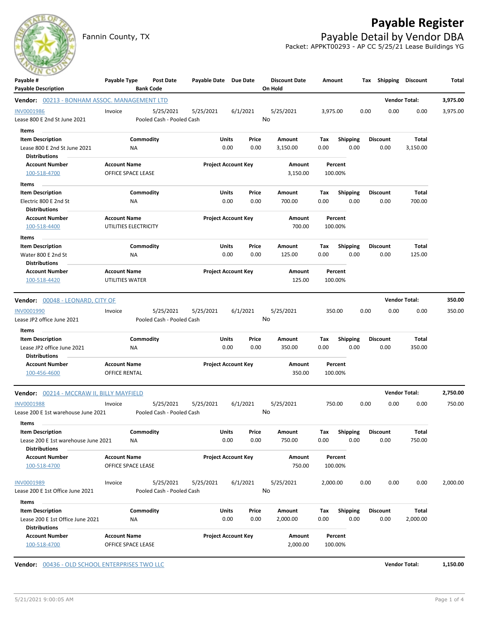

Fannin County, TX **Payable Detail by Vendor DBA** Packet: APPKT00293 - AP CC 5/25/21 Lease Buildings YG



| Payable #                                                                  | Payable Type          | Post Date                 | Payable Date Due Date      |                            |        | <b>Discount Date</b> | Amount   |                 |      | Tax Shipping Discount |                      | Total    |
|----------------------------------------------------------------------------|-----------------------|---------------------------|----------------------------|----------------------------|--------|----------------------|----------|-----------------|------|-----------------------|----------------------|----------|
| <b>Payable Description</b><br>Vendor: 00213 - BONHAM ASSOC. MANAGEMENT LTD |                       | <b>Bank Code</b>          |                            |                            |        | On Hold              |          |                 |      |                       | <b>Vendor Total:</b> | 3,975.00 |
| <b>INV0001986</b>                                                          | Invoice               | 5/25/2021                 | 5/25/2021                  | 6/1/2021                   |        | 5/25/2021            | 3,975.00 |                 | 0.00 | 0.00                  | 0.00                 | 3,975.00 |
| Lease 800 E 2nd St June 2021                                               |                       | Pooled Cash - Pooled Cash |                            |                            |        | No                   |          |                 |      |                       |                      |          |
| Items                                                                      |                       |                           |                            |                            |        |                      |          |                 |      |                       |                      |          |
| <b>Item Description</b>                                                    |                       | Commodity                 |                            | Units                      | Price  | Amount               | Tax      | <b>Shipping</b> |      | <b>Discount</b>       | Total                |          |
| Lease 800 E 2nd St June 2021                                               | NA                    |                           |                            | 0.00                       | 0.00   | 3,150.00             | 0.00     | 0.00            |      | 0.00                  | 3,150.00             |          |
| <b>Distributions</b>                                                       |                       |                           |                            |                            |        |                      |          |                 |      |                       |                      |          |
| <b>Account Number</b>                                                      | <b>Account Name</b>   |                           |                            | <b>Project Account Key</b> |        | Amount               |          | Percent         |      |                       |                      |          |
| 100-518-4700                                                               | OFFICE SPACE LEASE    |                           |                            |                            |        | 3,150.00             |          | 100.00%         |      |                       |                      |          |
| Items                                                                      |                       |                           |                            |                            |        |                      |          |                 |      |                       |                      |          |
| <b>Item Description</b>                                                    |                       | Commodity                 |                            | Units                      | Price  | Amount               | Tax      | <b>Shipping</b> |      | Discount              | <b>Total</b>         |          |
| Electric 800 E 2nd St                                                      | NA                    |                           |                            | 0.00                       | 0.00   | 700.00               | 0.00     | 0.00            |      | 0.00                  | 700.00               |          |
| <b>Distributions</b>                                                       |                       |                           |                            |                            |        |                      |          |                 |      |                       |                      |          |
| <b>Account Number</b>                                                      | <b>Account Name</b>   |                           |                            | <b>Project Account Key</b> |        | Amount               |          | Percent         |      |                       |                      |          |
| 100-518-4400                                                               | UTILITIES ELECTRICITY |                           |                            |                            | 700.00 | 100.00%              |          |                 |      |                       |                      |          |
| Items                                                                      |                       |                           |                            |                            |        |                      |          |                 |      |                       |                      |          |
| <b>Item Description</b>                                                    |                       | Commodity                 |                            | Units                      | Price  | Amount               | Tax      | <b>Shipping</b> |      | Discount              | Total                |          |
| Water 800 E 2nd St                                                         | ΝA                    |                           |                            | 0.00                       | 0.00   | 125.00               | 0.00     | 0.00            |      | 0.00                  | 125.00               |          |
| <b>Distributions</b>                                                       |                       |                           |                            |                            |        |                      |          |                 |      |                       |                      |          |
| <b>Account Number</b>                                                      | <b>Account Name</b>   |                           |                            | <b>Project Account Key</b> |        | Amount               |          | Percent         |      |                       |                      |          |
| 100-518-4420                                                               | UTILITIES WATER       |                           |                            |                            |        | 125.00               |          | 100.00%         |      |                       |                      |          |
| Vendor: 00048 - LEONARD, CITY OF                                           |                       |                           |                            |                            |        |                      |          |                 |      |                       | <b>Vendor Total:</b> | 350.00   |
| INV0001990                                                                 | Invoice               | 5/25/2021                 | 5/25/2021                  | 6/1/2021                   |        | 5/25/2021            |          | 350.00          | 0.00 | 0.00                  | 0.00                 | 350.00   |
| Lease JP2 office June 2021                                                 |                       | Pooled Cash - Pooled Cash |                            |                            |        | No                   |          |                 |      |                       |                      |          |
| Items                                                                      |                       |                           |                            |                            |        |                      |          |                 |      |                       |                      |          |
| <b>Item Description</b>                                                    |                       | Commodity                 |                            | Units                      | Price  | Amount               | Tax      | <b>Shipping</b> |      | <b>Discount</b>       | Total                |          |
| Lease JP2 office June 2021                                                 | NA                    |                           |                            | 0.00                       | 0.00   | 350.00               | 0.00     | 0.00            |      | 0.00                  | 350.00               |          |
| <b>Distributions</b>                                                       |                       |                           |                            |                            |        |                      |          |                 |      |                       |                      |          |
| <b>Account Number</b>                                                      | <b>Account Name</b>   |                           | <b>Project Account Key</b> |                            | Amount | Percent              |          |                 |      |                       |                      |          |
| 100-456-4600                                                               | OFFICE RENTAL         |                           |                            |                            |        | 350.00               |          | 100.00%         |      |                       |                      |          |
| Vendor: 00214 - MCCRAW II, BILLY MAYFIELD                                  |                       |                           |                            |                            |        |                      |          |                 |      |                       | <b>Vendor Total:</b> | 2,750.00 |
| <b>INV0001988</b>                                                          | Invoice               | 5/25/2021                 | 5/25/2021                  | 6/1/2021                   |        | 5/25/2021            |          | 750.00          | 0.00 | 0.00                  | 0.00                 | 750.00   |
| Lease 200 E 1st warehouse June 2021                                        |                       | Pooled Cash - Pooled Cash |                            |                            |        | No                   |          |                 |      |                       |                      |          |
| Items                                                                      |                       |                           |                            |                            |        |                      |          |                 |      |                       |                      |          |
| <b>Item Description</b>                                                    |                       | Commodity                 |                            | <b>Units</b>               | Price  | Amount               | Tax      | Shipping        |      | <b>Discount</b>       | Total                |          |
| Lease 200 E 1st warehouse June 2021                                        | NA                    |                           |                            | 0.00                       | 0.00   | 750.00               | 0.00     | 0.00            |      | 0.00                  | 750.00               |          |
| <b>Distributions</b>                                                       |                       |                           |                            |                            |        |                      |          |                 |      |                       |                      |          |
| <b>Account Number</b>                                                      | <b>Account Name</b>   |                           |                            | <b>Project Account Key</b> |        | Amount               |          | Percent         |      |                       |                      |          |
| 100-518-4700                                                               | OFFICE SPACE LEASE    |                           |                            |                            |        | 750.00               |          | 100.00%         |      |                       |                      |          |
| INV0001989                                                                 | Invoice               | 5/25/2021                 | 5/25/2021                  | 6/1/2021                   |        | 5/25/2021            | 2,000.00 |                 | 0.00 | 0.00                  | 0.00                 | 2,000.00 |
| Lease 200 E 1st Office June 2021                                           |                       | Pooled Cash - Pooled Cash |                            |                            |        | No                   |          |                 |      |                       |                      |          |
| Items                                                                      |                       |                           |                            |                            |        |                      |          |                 |      |                       |                      |          |
| <b>Item Description</b>                                                    |                       | Commodity                 |                            | <b>Units</b>               | Price  | Amount               | Tax      | <b>Shipping</b> |      | <b>Discount</b>       | Total                |          |
| Lease 200 E 1st Office June 2021                                           | NA                    |                           |                            | 0.00                       | 0.00   | 2,000.00             | 0.00     | 0.00            |      | 0.00                  | 2,000.00             |          |
| <b>Distributions</b>                                                       |                       |                           |                            |                            |        |                      |          |                 |      |                       |                      |          |
| <b>Account Number</b>                                                      | <b>Account Name</b>   |                           |                            | <b>Project Account Key</b> |        | Amount               |          | Percent         |      |                       |                      |          |
| 100-518-4700                                                               | OFFICE SPACE LEASE    |                           |                            |                            |        | 2,000.00             |          | 100.00%         |      |                       |                      |          |

**Vendor:** 00436 - OLD SCHOOL ENTERPRISES TWO LLC **Vendor Total: 1,150.00**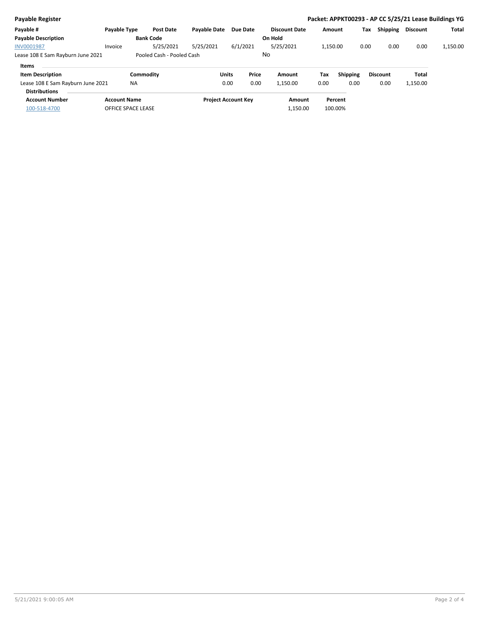| <b>Payable Register</b>           |                     |                           |                     |                            |       |                      |          |          |      |                 | Packet: APPKT00293 - AP CC 5/25/21 Lease Buildings YG |              |
|-----------------------------------|---------------------|---------------------------|---------------------|----------------------------|-------|----------------------|----------|----------|------|-----------------|-------------------------------------------------------|--------------|
| Payable #                         | Payable Type        | <b>Post Date</b>          | <b>Pavable Date</b> | Due Date                   |       | <b>Discount Date</b> | Amount   |          | Tax  | <b>Shipping</b> | <b>Discount</b>                                       | <b>Total</b> |
| <b>Payable Description</b>        |                     | <b>Bank Code</b>          |                     |                            |       | On Hold              |          |          |      |                 |                                                       |              |
| <b>INV0001987</b>                 | Invoice             | 5/25/2021                 | 5/25/2021           | 6/1/2021                   |       | 5/25/2021            | 1,150.00 |          | 0.00 | 0.00            | 0.00                                                  | 1,150.00     |
| Lease 108 E Sam Rayburn June 2021 |                     | Pooled Cash - Pooled Cash |                     |                            |       | No                   |          |          |      |                 |                                                       |              |
| Items                             |                     |                           |                     |                            |       |                      |          |          |      |                 |                                                       |              |
| <b>Item Description</b>           |                     | Commodity                 |                     | <b>Units</b>               | Price | Amount               | Tax      | Shipping |      | <b>Discount</b> | Total                                                 |              |
| Lease 108 E Sam Rayburn June 2021 | <b>NA</b>           |                           |                     | 0.00                       | 0.00  | 1,150.00             | 0.00     | 0.00     |      | 0.00            | 1,150.00                                              |              |
| <b>Distributions</b>              |                     |                           |                     |                            |       |                      |          |          |      |                 |                                                       |              |
| <b>Account Number</b>             | <b>Account Name</b> |                           |                     | <b>Project Account Key</b> |       | Amount               |          | Percent  |      |                 |                                                       |              |
| 100-518-4700                      | OFFICE SPACE LEASE  |                           |                     |                            |       | 1,150.00             |          | 100.00%  |      |                 |                                                       |              |
|                                   |                     |                           |                     |                            |       |                      |          |          |      |                 |                                                       |              |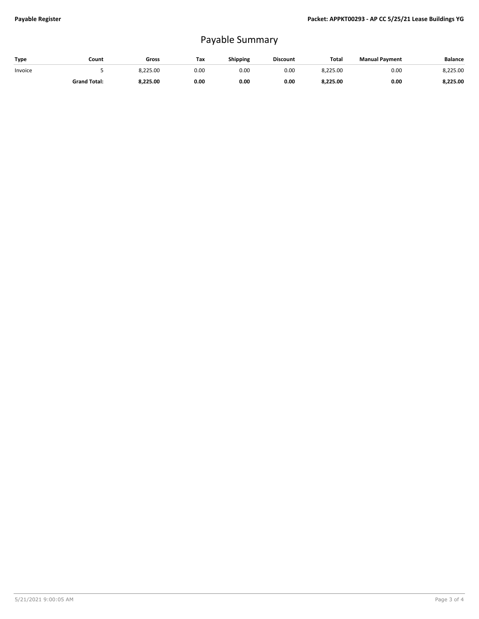## Payable Summary

| Type    | Count               | Gross    | Tax  | <b>Shipping</b> | <b>Discount</b> | <b>Total</b> | <b>Manual Payment</b> | <b>Balance</b> |
|---------|---------------------|----------|------|-----------------|-----------------|--------------|-----------------------|----------------|
| Invoice |                     | 8,225.00 | 0.00 | 0.OC            | 0.00            | 8,225.00     | 0.00                  | 8,225.00       |
|         | <b>Grand Total:</b> | 8.225.00 | 0.00 | 0.00            | 0.00            | 8,225.00     | 0.00                  | 8,225.00       |